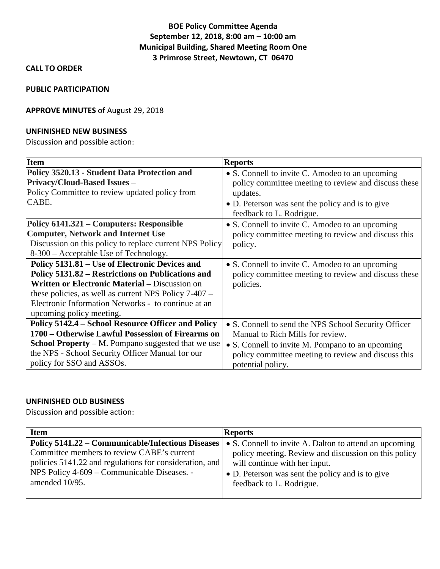# **BOE Policy Committee Agenda September 12, 2018, 8:00 am – 10:00 am Municipal Building, Shared Meeting Room One 3 Primrose Street, Newtown, CT 06470**

### **CALL TO ORDER**

#### **PUBLIC PARTICIPATION**

### **APPROVE MINUTES** of August 29, 2018

#### **UNFINISHED NEW BUSINESS**

Discussion and possible action:

| Item                                                      | <b>Reports</b>                                       |
|-----------------------------------------------------------|------------------------------------------------------|
| Policy 3520.13 - Student Data Protection and              | • S. Connell to invite C. Amodeo to an upcoming      |
| <b>Privacy/Cloud-Based Issues –</b>                       | policy committee meeting to review and discuss these |
| Policy Committee to review updated policy from            | updates.                                             |
| CABE.                                                     | • D. Peterson was sent the policy and is to give     |
|                                                           | feedback to L. Rodrigue.                             |
| Policy 6141.321 – Computers: Responsible                  | • S. Connell to invite C. Amodeo to an upcoming      |
| <b>Computer, Network and Internet Use</b>                 | policy committee meeting to review and discuss this  |
| Discussion on this policy to replace current NPS Policy   | policy.                                              |
| 8-300 – Acceptable Use of Technology.                     |                                                      |
| Policy 5131.81 – Use of Electronic Devices and            | • S. Connell to invite C. Amodeo to an upcoming      |
| Policy 5131.82 – Restrictions on Publications and         | policy committee meeting to review and discuss these |
| <b>Written or Electronic Material – Discussion on</b>     | policies.                                            |
| these policies, as well as current NPS Policy $7-407$ –   |                                                      |
| Electronic Information Networks - to continue at an       |                                                      |
| upcoming policy meeting.                                  |                                                      |
| Policy 5142.4 - School Resource Officer and Policy        | • S. Connell to send the NPS School Security Officer |
| 1700 – Otherwise Lawful Possession of Firearms on         | Manual to Rich Mills for review.                     |
| <b>School Property</b> – M. Pompano suggested that we use | • S. Connell to invite M. Pompano to an upcoming     |
| the NPS - School Security Officer Manual for our          | policy committee meeting to review and discuss this  |
| policy for SSO and ASSOs.                                 | potential policy.                                    |

### **UNFINISHED OLD BUSINESS**

Discussion and possible action:

| <b>Item</b>                                             | <b>Reports</b>                                         |
|---------------------------------------------------------|--------------------------------------------------------|
| Policy 5141.22 – Communicable/Infectious Diseases       | • S. Connell to invite A. Dalton to attend an upcoming |
| Committee members to review CABE's current              | policy meeting. Review and discussion on this policy   |
| policies 5141.22 and regulations for consideration, and | will continue with her input.                          |
| NPS Policy 4-609 – Communicable Diseases. -             | • D. Peterson was sent the policy and is to give       |
| amended 10/95.                                          | feedback to L. Rodrigue.                               |
|                                                         |                                                        |